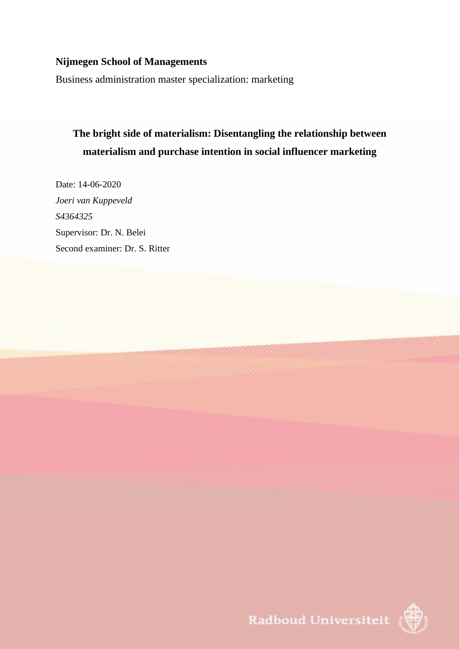## **Nijmegen School of Managements**

Business administration master specialization: marketing

# **The bright side of materialism: Disentangling the relationship between materialism and purchase intention in social influencer marketing**

Date: 14-06-2020 *Joeri van Kuppeveld S4364325* Supervisor: Dr. N. Belei Second examiner: Dr. S. Ritter



Radboud Universiteit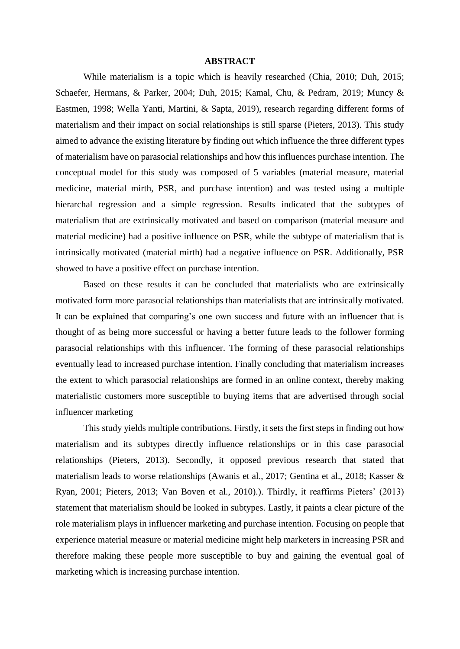#### **ABSTRACT**

While materialism is a topic which is heavily researched (Chia, 2010; Duh, 2015; Schaefer, Hermans, & Parker, 2004; Duh, 2015; Kamal, Chu, & Pedram, 2019; Muncy & Eastmen, 1998; Wella Yanti, Martini, & Sapta, 2019), research regarding different forms of materialism and their impact on social relationships is still sparse (Pieters, 2013). This study aimed to advance the existing literature by finding out which influence the three different types of materialism have on parasocial relationships and how this influences purchase intention. The conceptual model for this study was composed of 5 variables (material measure, material medicine, material mirth, PSR, and purchase intention) and was tested using a multiple hierarchal regression and a simple regression. Results indicated that the subtypes of materialism that are extrinsically motivated and based on comparison (material measure and material medicine) had a positive influence on PSR, while the subtype of materialism that is intrinsically motivated (material mirth) had a negative influence on PSR. Additionally, PSR showed to have a positive effect on purchase intention.

Based on these results it can be concluded that materialists who are extrinsically motivated form more parasocial relationships than materialists that are intrinsically motivated. It can be explained that comparing's one own success and future with an influencer that is thought of as being more successful or having a better future leads to the follower forming parasocial relationships with this influencer. The forming of these parasocial relationships eventually lead to increased purchase intention. Finally concluding that materialism increases the extent to which parasocial relationships are formed in an online context, thereby making materialistic customers more susceptible to buying items that are advertised through social influencer marketing

This study yields multiple contributions. Firstly, it sets the first steps in finding out how materialism and its subtypes directly influence relationships or in this case parasocial relationships (Pieters, 2013). Secondly, it opposed previous research that stated that materialism leads to worse relationships (Awanis et al., 2017; Gentina et al., 2018; Kasser & Ryan, 2001; Pieters, 2013; Van Boven et al., 2010).). Thirdly, it reaffirms Pieters' (2013) statement that materialism should be looked in subtypes. Lastly, it paints a clear picture of the role materialism plays in influencer marketing and purchase intention. Focusing on people that experience material measure or material medicine might help marketers in increasing PSR and therefore making these people more susceptible to buy and gaining the eventual goal of marketing which is increasing purchase intention.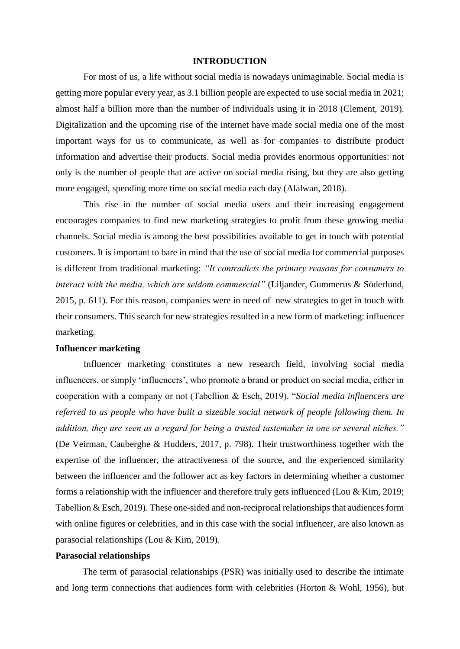#### **INTRODUCTION**

For most of us, a life without social media is nowadays unimaginable. Social media is getting more popular every year, as 3.1 billion people are expected to use social media in 2021; almost half a billion more than the number of individuals using it in 2018 (Clement, 2019). Digitalization and the upcoming rise of the internet have made social media one of the most important ways for us to communicate, as well as for companies to distribute product information and advertise their products. Social media provides enormous opportunities: not only is the number of people that are active on social media rising, but they are also getting more engaged, spending more time on social media each day (Alalwan, 2018).

This rise in the number of social media users and their increasing engagement encourages companies to find new marketing strategies to profit from these growing media channels. Social media is among the best possibilities available to get in touch with potential customers. It is important to bare in mind that the use of social media for commercial purposes is different from traditional marketing: *"It contradicts the primary reasons for consumers to interact with the media, which are seldom commercial"* (Liljander, Gummerus & Söderlund, 2015, p. 611). For this reason, companies were in need of new strategies to get in touch with their consumers. This search for new strategies resulted in a new form of marketing: influencer marketing.

#### **Influencer marketing**

Influencer marketing constitutes a new research field, involving social media influencers, or simply 'influencers', who promote a brand or product on social media, either in cooperation with a company or not (Tabellion & Esch, 2019). "*Social media influencers are referred to as people who have built a sizeable social network of people following them. In addition, they are seen as a regard for being a trusted tastemaker in one or several niches."*  (De Veirman, Cauberghe & Hudders, 2017, p. 798). Their trustworthiness together with the expertise of the influencer, the attractiveness of the source, and the experienced similarity between the influencer and the follower act as key factors in determining whether a customer forms a relationship with the influencer and therefore truly gets influenced (Lou & Kim, 2019; Tabellion & Esch, 2019). These one-sided and non-reciprocal relationships that audiences form with online figures or celebrities, and in this case with the social influencer, are also known as parasocial relationships (Lou & Kim, 2019).

## **Parasocial relationships**

The term of parasocial relationships (PSR) was initially used to describe the intimate and long term connections that audiences form with celebrities (Horton & Wohl, 1956), but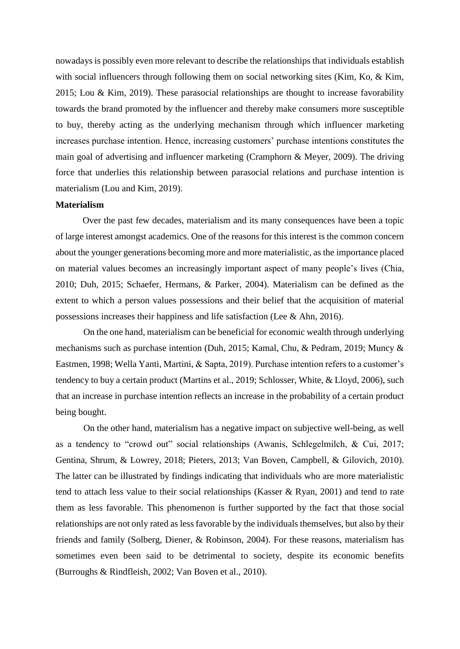nowadays is possibly even more relevant to describe the relationships that individuals establish with social influencers through following them on social networking sites (Kim, Ko, & Kim, 2015; Lou & Kim, 2019). These parasocial relationships are thought to increase favorability towards the brand promoted by the influencer and thereby make consumers more susceptible to buy, thereby acting as the underlying mechanism through which influencer marketing increases purchase intention. Hence, increasing customers' purchase intentions constitutes the main goal of advertising and influencer marketing (Cramphorn & Meyer, 2009). The driving force that underlies this relationship between parasocial relations and purchase intention is materialism (Lou and Kim, 2019).

#### **Materialism**

Over the past few decades, materialism and its many consequences have been a topic of large interest amongst academics. One of the reasons for this interest is the common concern about the younger generations becoming more and more materialistic, as the importance placed on material values becomes an increasingly important aspect of many people's lives (Chia, 2010; Duh, 2015; Schaefer, Hermans, & Parker, 2004). Materialism can be defined as the extent to which a person values possessions and their belief that the acquisition of material possessions increases their happiness and life satisfaction (Lee & Ahn, 2016).

On the one hand, materialism can be beneficial for economic wealth through underlying mechanisms such as purchase intention (Duh, 2015; Kamal, Chu, & Pedram, 2019; Muncy & Eastmen, 1998; Wella Yanti, Martini, & Sapta, 2019). Purchase intention refers to a customer's tendency to buy a certain product (Martins et al., 2019; Schlosser, White, & Lloyd, 2006), such that an increase in purchase intention reflects an increase in the probability of a certain product being bought.

On the other hand, materialism has a negative impact on subjective well-being, as well as a tendency to "crowd out" social relationships (Awanis, Schlegelmilch, & Cui, 2017; Gentina, Shrum, & Lowrey, 2018; Pieters, 2013; Van Boven, Campbell, & Gilovich, 2010). The latter can be illustrated by findings indicating that individuals who are more materialistic tend to attach less value to their social relationships (Kasser & Ryan, 2001) and tend to rate them as less favorable. This phenomenon is further supported by the fact that those social relationships are not only rated as less favorable by the individuals themselves, but also by their friends and family (Solberg, Diener, & Robinson, 2004). For these reasons, materialism has sometimes even been said to be detrimental to society, despite its economic benefits (Burroughs & Rindfleish, 2002; Van Boven et al., 2010).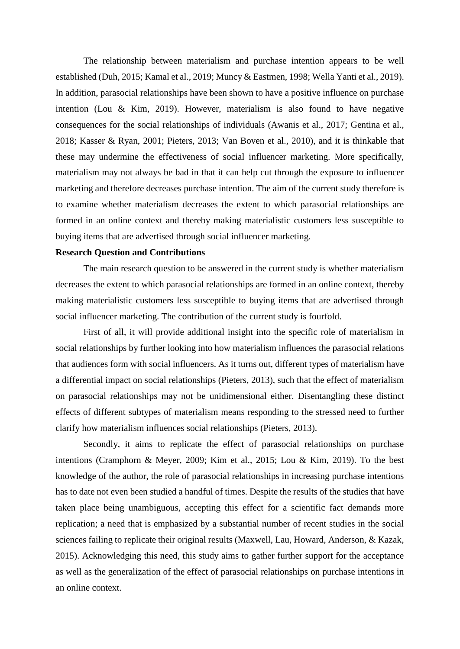The relationship between materialism and purchase intention appears to be well established (Duh, 2015; Kamal et al., 2019; Muncy & Eastmen, 1998; Wella Yanti et al., 2019). In addition, parasocial relationships have been shown to have a positive influence on purchase intention (Lou & Kim, 2019). However, materialism is also found to have negative consequences for the social relationships of individuals (Awanis et al., 2017; Gentina et al., 2018; Kasser & Ryan, 2001; Pieters, 2013; Van Boven et al., 2010), and it is thinkable that these may undermine the effectiveness of social influencer marketing. More specifically, materialism may not always be bad in that it can help cut through the exposure to influencer marketing and therefore decreases purchase intention. The aim of the current study therefore is to examine whether materialism decreases the extent to which parasocial relationships are formed in an online context and thereby making materialistic customers less susceptible to buying items that are advertised through social influencer marketing.

#### **Research Question and Contributions**

The main research question to be answered in the current study is whether materialism decreases the extent to which parasocial relationships are formed in an online context, thereby making materialistic customers less susceptible to buying items that are advertised through social influencer marketing. The contribution of the current study is fourfold.

First of all, it will provide additional insight into the specific role of materialism in social relationships by further looking into how materialism influences the parasocial relations that audiences form with social influencers. As it turns out, different types of materialism have a differential impact on social relationships (Pieters, 2013), such that the effect of materialism on parasocial relationships may not be unidimensional either. Disentangling these distinct effects of different subtypes of materialism means responding to the stressed need to further clarify how materialism influences social relationships (Pieters, 2013).

Secondly, it aims to replicate the effect of parasocial relationships on purchase intentions (Cramphorn & Meyer, 2009; Kim et al., 2015; Lou & Kim, 2019). To the best knowledge of the author, the role of parasocial relationships in increasing purchase intentions has to date not even been studied a handful of times. Despite the results of the studies that have taken place being unambiguous, accepting this effect for a scientific fact demands more replication; a need that is emphasized by a substantial number of recent studies in the social sciences failing to replicate their original results (Maxwell, Lau, Howard, Anderson, & Kazak, 2015). Acknowledging this need, this study aims to gather further support for the acceptance as well as the generalization of the effect of parasocial relationships on purchase intentions in an online context.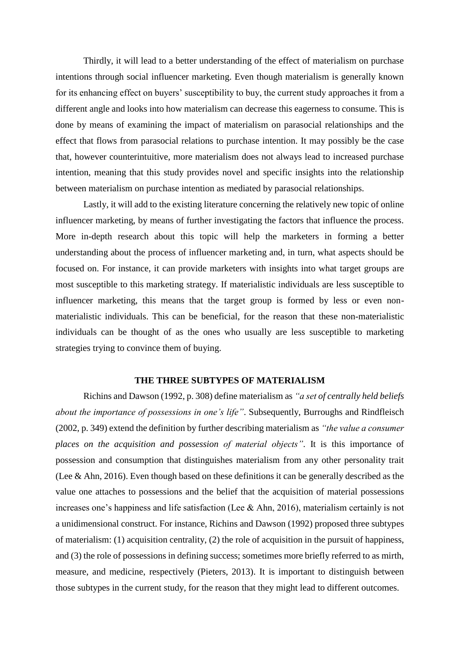Thirdly, it will lead to a better understanding of the effect of materialism on purchase intentions through social influencer marketing. Even though materialism is generally known for its enhancing effect on buyers' susceptibility to buy, the current study approaches it from a different angle and looks into how materialism can decrease this eagerness to consume. This is done by means of examining the impact of materialism on parasocial relationships and the effect that flows from parasocial relations to purchase intention. It may possibly be the case that, however counterintuitive, more materialism does not always lead to increased purchase intention, meaning that this study provides novel and specific insights into the relationship between materialism on purchase intention as mediated by parasocial relationships.

Lastly, it will add to the existing literature concerning the relatively new topic of online influencer marketing, by means of further investigating the factors that influence the process. More in-depth research about this topic will help the marketers in forming a better understanding about the process of influencer marketing and, in turn, what aspects should be focused on. For instance, it can provide marketers with insights into what target groups are most susceptible to this marketing strategy. If materialistic individuals are less susceptible to influencer marketing, this means that the target group is formed by less or even nonmaterialistic individuals. This can be beneficial, for the reason that these non-materialistic individuals can be thought of as the ones who usually are less susceptible to marketing strategies trying to convince them of buying.

## **THE THREE SUBTYPES OF MATERIALISM**

Richins and Dawson (1992, p. 308) define materialism as *"a set of centrally held beliefs about the importance of possessions in one's life"*. Subsequently, Burroughs and Rindfleisch (2002, p. 349) extend the definition by further describing materialism as *"the value a consumer places on the acquisition and possession of material objects"*. It is this importance of possession and consumption that distinguishes materialism from any other personality trait (Lee & Ahn, 2016). Even though based on these definitions it can be generally described as the value one attaches to possessions and the belief that the acquisition of material possessions increases one's happiness and life satisfaction (Lee & Ahn, 2016), materialism certainly is not a unidimensional construct. For instance, Richins and Dawson (1992) proposed three subtypes of materialism: (1) acquisition centrality, (2) the role of acquisition in the pursuit of happiness, and (3) the role of possessions in defining success; sometimes more briefly referred to as mirth, measure, and medicine, respectively (Pieters, 2013). It is important to distinguish between those subtypes in the current study, for the reason that they might lead to different outcomes.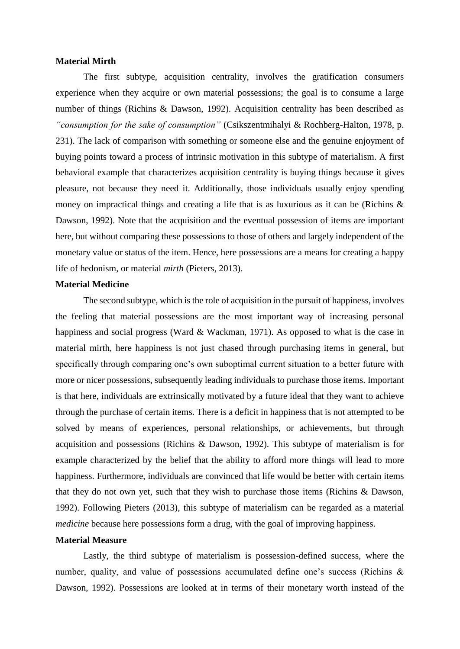#### **Material Mirth**

The first subtype, acquisition centrality, involves the gratification consumers experience when they acquire or own material possessions; the goal is to consume a large number of things (Richins & Dawson, 1992). Acquisition centrality has been described as *"consumption for the sake of consumption"* (Csikszentmihalyi & Rochberg-Halton, 1978, p. 231). The lack of comparison with something or someone else and the genuine enjoyment of buying points toward a process of intrinsic motivation in this subtype of materialism. A first behavioral example that characterizes acquisition centrality is buying things because it gives pleasure, not because they need it. Additionally, those individuals usually enjoy spending money on impractical things and creating a life that is as luxurious as it can be (Richins & Dawson, 1992). Note that the acquisition and the eventual possession of items are important here, but without comparing these possessions to those of others and largely independent of the monetary value or status of the item. Hence, here possessions are a means for creating a happy life of hedonism, or material *mirth* (Pieters, 2013).

## **Material Medicine**

The second subtype, which is the role of acquisition in the pursuit of happiness, involves the feeling that material possessions are the most important way of increasing personal happiness and social progress (Ward & Wackman, 1971). As opposed to what is the case in material mirth, here happiness is not just chased through purchasing items in general, but specifically through comparing one's own suboptimal current situation to a better future with more or nicer possessions, subsequently leading individuals to purchase those items. Important is that here, individuals are extrinsically motivated by a future ideal that they want to achieve through the purchase of certain items. There is a deficit in happiness that is not attempted to be solved by means of experiences, personal relationships, or achievements, but through acquisition and possessions (Richins & Dawson, 1992). This subtype of materialism is for example characterized by the belief that the ability to afford more things will lead to more happiness. Furthermore, individuals are convinced that life would be better with certain items that they do not own yet, such that they wish to purchase those items (Richins & Dawson, 1992). Following Pieters (2013), this subtype of materialism can be regarded as a material *medicine* because here possessions form a drug, with the goal of improving happiness.

## **Material Measure**

Lastly, the third subtype of materialism is possession-defined success, where the number, quality, and value of possessions accumulated define one's success (Richins & Dawson, 1992). Possessions are looked at in terms of their monetary worth instead of the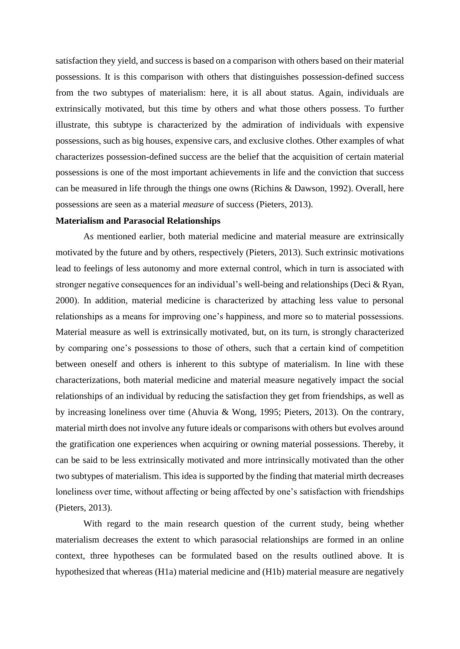satisfaction they yield, and success is based on a comparison with others based on their material possessions. It is this comparison with others that distinguishes possession-defined success from the two subtypes of materialism: here, it is all about status. Again, individuals are extrinsically motivated, but this time by others and what those others possess. To further illustrate, this subtype is characterized by the admiration of individuals with expensive possessions, such as big houses, expensive cars, and exclusive clothes. Other examples of what characterizes possession-defined success are the belief that the acquisition of certain material possessions is one of the most important achievements in life and the conviction that success can be measured in life through the things one owns (Richins & Dawson, 1992). Overall, here possessions are seen as a material *measure* of success (Pieters, 2013).

#### **Materialism and Parasocial Relationships**

As mentioned earlier, both material medicine and material measure are extrinsically motivated by the future and by others, respectively (Pieters, 2013). Such extrinsic motivations lead to feelings of less autonomy and more external control, which in turn is associated with stronger negative consequences for an individual's well-being and relationships (Deci & Ryan, 2000). In addition, material medicine is characterized by attaching less value to personal relationships as a means for improving one's happiness, and more so to material possessions. Material measure as well is extrinsically motivated, but, on its turn, is strongly characterized by comparing one's possessions to those of others, such that a certain kind of competition between oneself and others is inherent to this subtype of materialism. In line with these characterizations, both material medicine and material measure negatively impact the social relationships of an individual by reducing the satisfaction they get from friendships, as well as by increasing loneliness over time (Ahuvia & Wong, 1995; Pieters, 2013). On the contrary, material mirth does not involve any future ideals or comparisons with others but evolves around the gratification one experiences when acquiring or owning material possessions. Thereby, it can be said to be less extrinsically motivated and more intrinsically motivated than the other two subtypes of materialism. This idea is supported by the finding that material mirth decreases loneliness over time, without affecting or being affected by one's satisfaction with friendships (Pieters, 2013).

With regard to the main research question of the current study, being whether materialism decreases the extent to which parasocial relationships are formed in an online context, three hypotheses can be formulated based on the results outlined above. It is hypothesized that whereas (H1a) material medicine and (H1b) material measure are negatively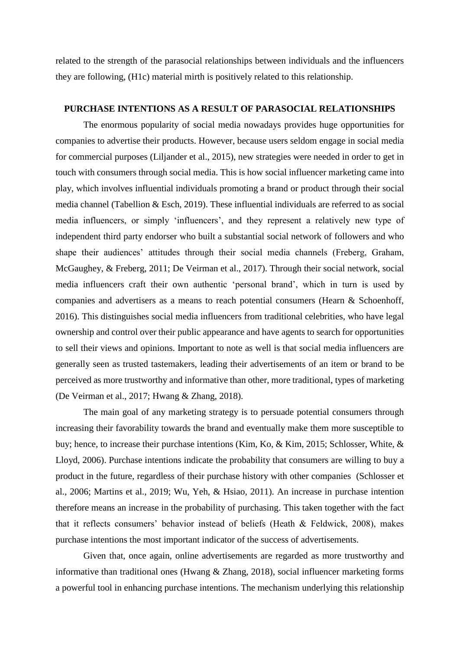related to the strength of the parasocial relationships between individuals and the influencers they are following, (H1c) material mirth is positively related to this relationship.

## **PURCHASE INTENTIONS AS A RESULT OF PARASOCIAL RELATIONSHIPS**

The enormous popularity of social media nowadays provides huge opportunities for companies to advertise their products. However, because users seldom engage in social media for commercial purposes (Liljander et al., 2015), new strategies were needed in order to get in touch with consumers through social media. This is how social influencer marketing came into play, which involves influential individuals promoting a brand or product through their social media channel (Tabellion & Esch, 2019). These influential individuals are referred to as social media influencers, or simply 'influencers', and they represent a relatively new type of independent third party endorser who built a substantial social network of followers and who shape their audiences' attitudes through their social media channels (Freberg, Graham, McGaughey, & Freberg, 2011; De Veirman et al., 2017). Through their social network, social media influencers craft their own authentic 'personal brand', which in turn is used by companies and advertisers as a means to reach potential consumers (Hearn & Schoenhoff, 2016). This distinguishes social media influencers from traditional celebrities, who have legal ownership and control over their public appearance and have agents to search for opportunities to sell their views and opinions. Important to note as well is that social media influencers are generally seen as trusted tastemakers, leading their advertisements of an item or brand to be perceived as more trustworthy and informative than other, more traditional, types of marketing (De Veirman et al., 2017; Hwang & Zhang, 2018).

The main goal of any marketing strategy is to persuade potential consumers through increasing their favorability towards the brand and eventually make them more susceptible to buy; hence, to increase their purchase intentions (Kim, Ko, & Kim, 2015; Schlosser, White, & Lloyd, 2006). Purchase intentions indicate the probability that consumers are willing to buy a product in the future, regardless of their purchase history with other companies (Schlosser et al., 2006; Martins et al., 2019; Wu, Yeh, & Hsiao, 2011). An increase in purchase intention therefore means an increase in the probability of purchasing. This taken together with the fact that it reflects consumers' behavior instead of beliefs (Heath & Feldwick, 2008), makes purchase intentions the most important indicator of the success of advertisements.

Given that, once again, online advertisements are regarded as more trustworthy and informative than traditional ones (Hwang & Zhang, 2018), social influencer marketing forms a powerful tool in enhancing purchase intentions. The mechanism underlying this relationship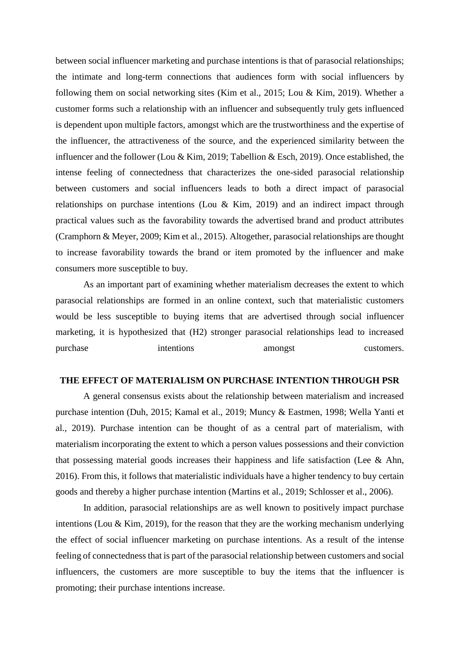between social influencer marketing and purchase intentions is that of parasocial relationships; the intimate and long-term connections that audiences form with social influencers by following them on social networking sites (Kim et al., 2015; Lou & Kim, 2019). Whether a customer forms such a relationship with an influencer and subsequently truly gets influenced is dependent upon multiple factors, amongst which are the trustworthiness and the expertise of the influencer, the attractiveness of the source, and the experienced similarity between the influencer and the follower (Lou & Kim, 2019; Tabellion & Esch, 2019). Once established, the intense feeling of connectedness that characterizes the one-sided parasocial relationship between customers and social influencers leads to both a direct impact of parasocial relationships on purchase intentions (Lou & Kim, 2019) and an indirect impact through practical values such as the favorability towards the advertised brand and product attributes (Cramphorn & Meyer, 2009; Kim et al., 2015). Altogether, parasocial relationships are thought to increase favorability towards the brand or item promoted by the influencer and make consumers more susceptible to buy.

As an important part of examining whether materialism decreases the extent to which parasocial relationships are formed in an online context, such that materialistic customers would be less susceptible to buying items that are advertised through social influencer marketing, it is hypothesized that (H2) stronger parasocial relationships lead to increased purchase intentions amongst customers.

## **THE EFFECT OF MATERIALISM ON PURCHASE INTENTION THROUGH PSR**

A general consensus exists about the relationship between materialism and increased purchase intention (Duh, 2015; Kamal et al., 2019; Muncy & Eastmen, 1998; Wella Yanti et al., 2019). Purchase intention can be thought of as a central part of materialism, with materialism incorporating the extent to which a person values possessions and their conviction that possessing material goods increases their happiness and life satisfaction (Lee & Ahn, 2016). From this, it follows that materialistic individuals have a higher tendency to buy certain goods and thereby a higher purchase intention (Martins et al., 2019; Schlosser et al., 2006).

In addition, parasocial relationships are as well known to positively impact purchase intentions (Lou & Kim, 2019), for the reason that they are the working mechanism underlying the effect of social influencer marketing on purchase intentions. As a result of the intense feeling of connectedness that is part of the parasocial relationship between customers and social influencers, the customers are more susceptible to buy the items that the influencer is promoting; their purchase intentions increase.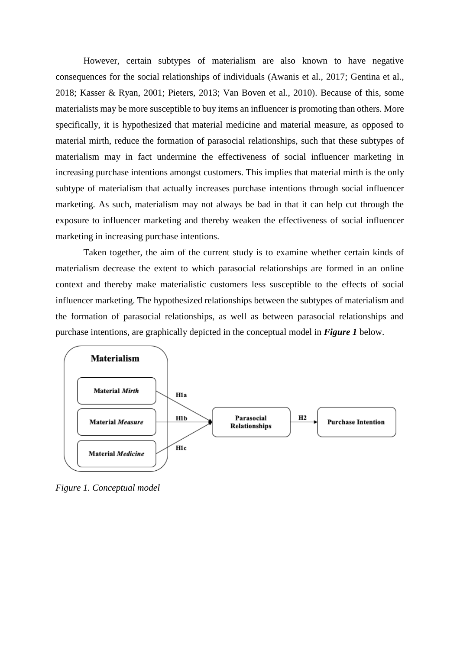However, certain subtypes of materialism are also known to have negative consequences for the social relationships of individuals (Awanis et al., 2017; Gentina et al., 2018; Kasser & Ryan, 2001; Pieters, 2013; Van Boven et al., 2010). Because of this, some materialists may be more susceptible to buy items an influencer is promoting than others. More specifically, it is hypothesized that material medicine and material measure, as opposed to material mirth, reduce the formation of parasocial relationships, such that these subtypes of materialism may in fact undermine the effectiveness of social influencer marketing in increasing purchase intentions amongst customers. This implies that material mirth is the only subtype of materialism that actually increases purchase intentions through social influencer marketing. As such, materialism may not always be bad in that it can help cut through the exposure to influencer marketing and thereby weaken the effectiveness of social influencer marketing in increasing purchase intentions.

Taken together, the aim of the current study is to examine whether certain kinds of materialism decrease the extent to which parasocial relationships are formed in an online context and thereby make materialistic customers less susceptible to the effects of social influencer marketing. The hypothesized relationships between the subtypes of materialism and the formation of parasocial relationships, as well as between parasocial relationships and purchase intentions, are graphically depicted in the conceptual model in *Figure 1* below.



*Figure 1. Conceptual model*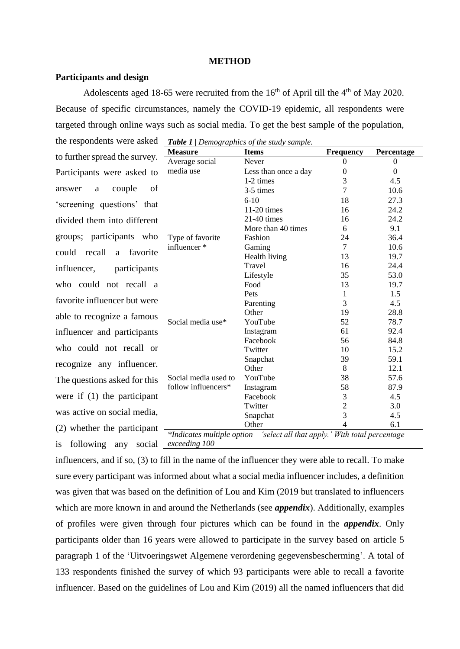#### **METHOD**

#### **Participants and design**

Adolescents aged 18-65 were recruited from the  $16<sup>th</sup>$  of April till the  $4<sup>th</sup>$  of May 2020. Because of specific circumstances, namely the COVID-19 epidemic, all respondents were targeted through online ways such as social media. To get the best sample of the population,

the respondents were asked to further spread the survey. -Participants were asked to answer a couple of 'screening questions' that divided them into different groups; participants who could recall a favorite influencer, participants who could not recall a favorite influencer but were able to recognize a famous influencer and participants who could not recall or recognize any influencer. The questions asked for this were if (1) the participant was active on social media, (2) whether the participant

| <b>Table 1</b>   Demographics of the study sample.                          |                      |                  |            |  |  |
|-----------------------------------------------------------------------------|----------------------|------------------|------------|--|--|
| <b>Measure</b>                                                              | <b>Items</b>         | <b>Frequency</b> | Percentage |  |  |
| Average social                                                              | Never                | 0                | 0          |  |  |
| media use                                                                   | Less than once a day | 0                | $\Omega$   |  |  |
|                                                                             | 1-2 times            | 3                | 4.5        |  |  |
|                                                                             | 3-5 times            | 7                | 10.6       |  |  |
|                                                                             | $6-10$               | 18               | 27.3       |  |  |
|                                                                             | $11-20$ times        | 16               | 24.2       |  |  |
|                                                                             | $21-40$ times        | 16               | 24.2       |  |  |
|                                                                             | More than 40 times   | 6                | 9.1        |  |  |
| Type of favorite                                                            | Fashion              | 24               | 36.4       |  |  |
| influencer *                                                                | Gaming               | $\tau$           | 10.6       |  |  |
|                                                                             | Health living        | 13               | 19.7       |  |  |
|                                                                             | Travel               | 16               | 24.4       |  |  |
|                                                                             | Lifestyle            | 35               | 53.0       |  |  |
|                                                                             | Food                 | 13               | 19.7       |  |  |
|                                                                             | Pets                 | $\mathbf{1}$     | 1.5        |  |  |
|                                                                             | Parenting            | 3                | 4.5        |  |  |
|                                                                             | Other                | 19               | 28.8       |  |  |
| Social media use*                                                           | YouTube              | 52               | 78.7       |  |  |
|                                                                             | Instagram            | 61               | 92.4       |  |  |
|                                                                             | Facebook             | 56               | 84.8       |  |  |
|                                                                             | Twitter              | 10               | 15.2       |  |  |
|                                                                             | Snapchat             | 39               | 59.1       |  |  |
|                                                                             | Other                | 8                | 12.1       |  |  |
| Social media used to                                                        | YouTube              | 38               | 57.6       |  |  |
| follow influencers*                                                         | Instagram            | 58               | 87.9       |  |  |
|                                                                             | Facebook             | 3                | 4.5        |  |  |
|                                                                             | Twitter              | $\overline{c}$   | 3.0        |  |  |
|                                                                             | Snapchat             | $\overline{3}$   | 4.5        |  |  |
|                                                                             | Other                | 4                | 6.1        |  |  |
| *Indicates multiple option - 'select all that apply.' With total percentage |                      |                  |            |  |  |

is following any social *exceeding 100*

influencers, and if so, (3) to fill in the name of the influencer they were able to recall. To make sure every participant was informed about what a social media influencer includes, a definition was given that was based on the definition of Lou and Kim (2019 but translated to influencers which are more known in and around the Netherlands (see *appendix*). Additionally, examples of profiles were given through four pictures which can be found in the *appendix*. Only participants older than 16 years were allowed to participate in the survey based on article 5 paragraph 1 of the 'Uitvoeringswet Algemene verordening gegevensbescherming'. A total of 133 respondents finished the survey of which 93 participants were able to recall a favorite influencer. Based on the guidelines of Lou and Kim (2019) all the named influencers that did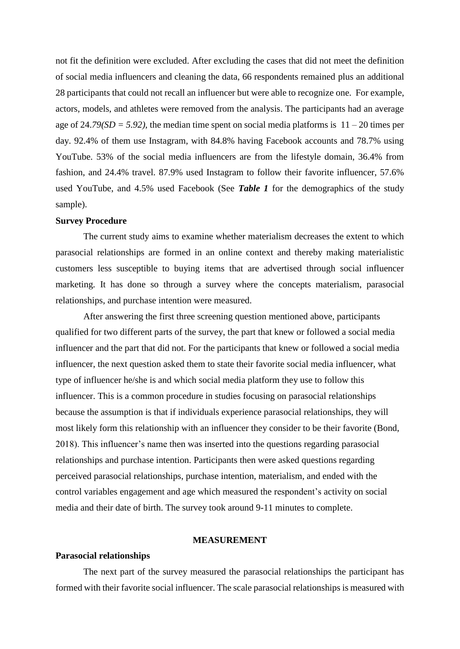not fit the definition were excluded. After excluding the cases that did not meet the definition of social media influencers and cleaning the data, 66 respondents remained plus an additional 28 participants that could not recall an influencer but were able to recognize one. For example, actors, models, and athletes were removed from the analysis. The participants had an average age of  $24.79(SD = 5.92)$ , the median time spent on social media platforms is  $11 - 20$  times per day. 92.4% of them use Instagram, with 84.8% having Facebook accounts and 78.7% using YouTube. 53% of the social media influencers are from the lifestyle domain, 36.4% from fashion, and 24.4% travel. 87.9% used Instagram to follow their favorite influencer, 57.6% used YouTube, and 4.5% used Facebook (See *Table 1* for the demographics of the study sample).

#### **Survey Procedure**

The current study aims to examine whether materialism decreases the extent to which parasocial relationships are formed in an online context and thereby making materialistic customers less susceptible to buying items that are advertised through social influencer marketing. It has done so through a survey where the concepts materialism, parasocial relationships, and purchase intention were measured.

After answering the first three screening question mentioned above, participants qualified for two different parts of the survey, the part that knew or followed a social media influencer and the part that did not. For the participants that knew or followed a social media influencer, the next question asked them to state their favorite social media influencer, what type of influencer he/she is and which social media platform they use to follow this influencer. This is a common procedure in studies focusing on parasocial relationships because the assumption is that if individuals experience parasocial relationships, they will most likely form this relationship with an influencer they consider to be their favorite (Bond, 2018). This influencer's name then was inserted into the questions regarding parasocial relationships and purchase intention. Participants then were asked questions regarding perceived parasocial relationships, purchase intention, materialism, and ended with the control variables engagement and age which measured the respondent's activity on social media and their date of birth. The survey took around 9-11 minutes to complete.

#### **MEASUREMENT**

#### **Parasocial relationships**

The next part of the survey measured the parasocial relationships the participant has formed with their favorite social influencer. The scale parasocial relationships is measured with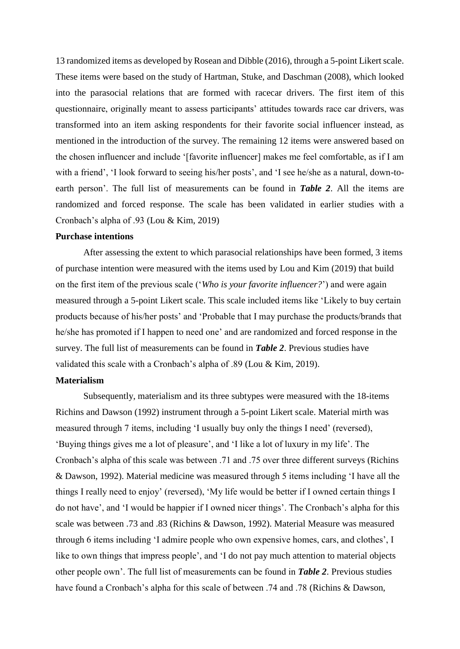13 randomized items as developed by Rosean and Dibble (2016), through a 5-point Likert scale. These items were based on the study of Hartman, Stuke, and Daschman (2008), which looked into the parasocial relations that are formed with racecar drivers. The first item of this questionnaire, originally meant to assess participants' attitudes towards race car drivers, was transformed into an item asking respondents for their favorite social influencer instead, as mentioned in the introduction of the survey. The remaining 12 items were answered based on the chosen influencer and include '[favorite influencer] makes me feel comfortable, as if I am with a friend', 'I look forward to seeing his/her posts', and 'I see he/she as a natural, down-toearth person'. The full list of measurements can be found in *Table 2*. All the items are randomized and forced response. The scale has been validated in earlier studies with a Cronbach's alpha of .93 (Lou & Kim, 2019)

#### **Purchase intentions**

After assessing the extent to which parasocial relationships have been formed, 3 items of purchase intention were measured with the items used by Lou and Kim (2019) that build on the first item of the previous scale ('*Who is your favorite influencer?*') and were again measured through a 5-point Likert scale. This scale included items like 'Likely to buy certain products because of his/her posts' and 'Probable that I may purchase the products/brands that he/she has promoted if I happen to need one' and are randomized and forced response in the survey. The full list of measurements can be found in *Table 2*. Previous studies have validated this scale with a Cronbach's alpha of .89 (Lou & Kim, 2019).

#### **Materialism**

Subsequently, materialism and its three subtypes were measured with the 18-items Richins and Dawson (1992) instrument through a 5-point Likert scale. Material mirth was measured through 7 items, including 'I usually buy only the things I need' (reversed), 'Buying things gives me a lot of pleasure', and 'I like a lot of luxury in my life'. The Cronbach's alpha of this scale was between .71 and .75 over three different surveys (Richins & Dawson, 1992). Material medicine was measured through 5 items including 'I have all the things I really need to enjoy' (reversed), 'My life would be better if I owned certain things I do not have', and 'I would be happier if I owned nicer things'. The Cronbach's alpha for this scale was between .73 and .83 (Richins & Dawson, 1992). Material Measure was measured through 6 items including 'I admire people who own expensive homes, cars, and clothes', I like to own things that impress people', and 'I do not pay much attention to material objects other people own'. The full list of measurements can be found in *Table 2*. Previous studies have found a Cronbach's alpha for this scale of between .74 and .78 (Richins & Dawson,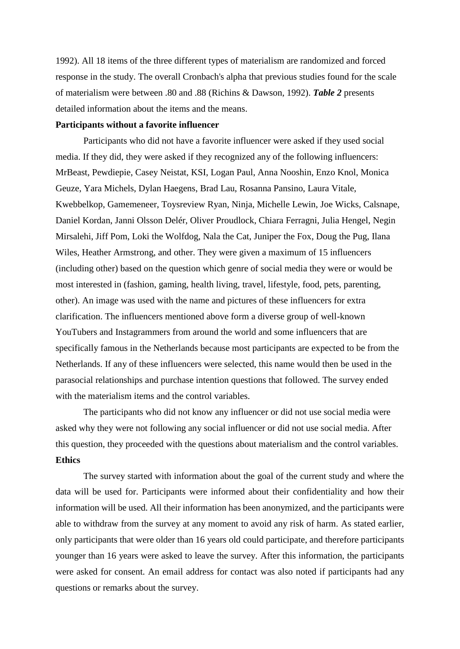1992). All 18 items of the three different types of materialism are randomized and forced response in the study. The overall Cronbach's alpha that previous studies found for the scale of materialism were between .80 and .88 (Richins & Dawson, 1992). *Table 2* presents detailed information about the items and the means.

## **Participants without a favorite influencer**

Participants who did not have a favorite influencer were asked if they used social media. If they did, they were asked if they recognized any of the following influencers: MrBeast, Pewdiepie, Casey Neistat, KSI, Logan Paul, Anna Nooshin, Enzo Knol, Monica Geuze, Yara Michels, Dylan Haegens, Brad Lau, Rosanna Pansino, Laura Vitale, Kwebbelkop, Gamemeneer, Toysreview Ryan, Ninja, Michelle Lewin, Joe Wicks, Calsnape, Daniel Kordan, Janni Olsson Delér, Oliver Proudlock, Chiara Ferragni, Julia Hengel, Negin Mirsalehi, Jiff Pom, Loki the Wolfdog, Nala the Cat, Juniper the Fox, Doug the Pug, Ilana Wiles, Heather Armstrong, and other. They were given a maximum of 15 influencers (including other) based on the question which genre of social media they were or would be most interested in (fashion, gaming, health living, travel, lifestyle, food, pets, parenting, other). An image was used with the name and pictures of these influencers for extra clarification. The influencers mentioned above form a diverse group of well-known YouTubers and Instagrammers from around the world and some influencers that are specifically famous in the Netherlands because most participants are expected to be from the Netherlands. If any of these influencers were selected, this name would then be used in the parasocial relationships and purchase intention questions that followed. The survey ended with the materialism items and the control variables.

The participants who did not know any influencer or did not use social media were asked why they were not following any social influencer or did not use social media. After this question, they proceeded with the questions about materialism and the control variables. **Ethics**

The survey started with information about the goal of the current study and where the data will be used for. Participants were informed about their confidentiality and how their information will be used. All their information has been anonymized, and the participants were able to withdraw from the survey at any moment to avoid any risk of harm. As stated earlier, only participants that were older than 16 years old could participate, and therefore participants younger than 16 years were asked to leave the survey. After this information, the participants were asked for consent. An email address for contact was also noted if participants had any questions or remarks about the survey.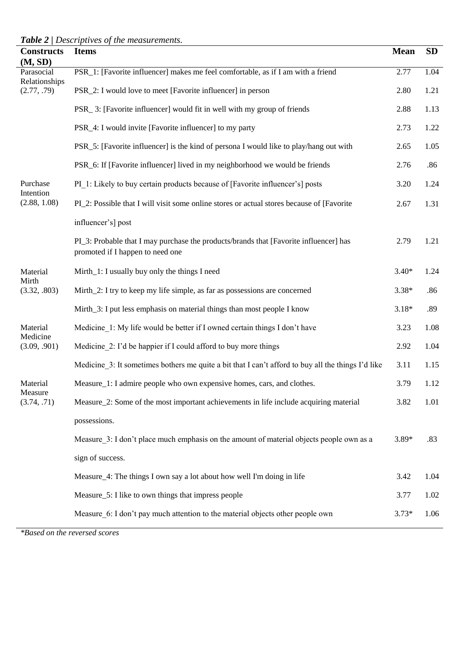*Table 2 | Descriptives of the measurements.*

| <b>Constructs</b><br>(M, SD) | <b>Items</b>                                                                                                              | <b>Mean</b> | <b>SD</b> |
|------------------------------|---------------------------------------------------------------------------------------------------------------------------|-------------|-----------|
| Parasocial                   | PSR_1: [Favorite influencer] makes me feel comfortable, as if I am with a friend                                          | 2.77        | 1.04      |
| Relationships<br>(2.77, .79) | PSR_2: I would love to meet [Favorite influencer] in person                                                               | 2.80        | 1.21      |
|                              | PSR_3: [Favorite influencer] would fit in well with my group of friends                                                   | 2.88        | 1.13      |
|                              | PSR_4: I would invite [Favorite influencer] to my party                                                                   | 2.73        | 1.22      |
|                              | PSR_5: [Favorite influencer] is the kind of persona I would like to play/hang out with                                    | 2.65        | 1.05      |
|                              | PSR_6: If [Favorite influencer] lived in my neighborhood we would be friends                                              | 2.76        | .86       |
| Purchase<br>Intention        | PI 1: Likely to buy certain products because of [Favorite influencer's] posts                                             | 3.20        | 1.24      |
| (2.88, 1.08)                 | PL_2: Possible that I will visit some online stores or actual stores because of [Favorite]                                | 2.67        | 1.31      |
|                              | influencer's] post                                                                                                        |             |           |
|                              | PI_3: Probable that I may purchase the products/brands that [Favorite influencer] has<br>promoted if I happen to need one | 2.79        | 1.21      |
| Material                     | Mirth_1: I usually buy only the things I need                                                                             | $3.40*$     | 1.24      |
| Mirth<br>(3.32, .803)        | Mirth_2: I try to keep my life simple, as far as possessions are concerned                                                | $3.38*$     | .86       |
|                              | Mirth_3: I put less emphasis on material things than most people I know                                                   | $3.18*$     | .89       |
| Material<br>Medicine         | Medicine 1: My life would be better if I owned certain things I don't have                                                | 3.23        | 1.08      |
| (3.09, .901)                 | Medicine 2: I'd be happier if I could afford to buy more things                                                           | 2.92        | 1.04      |
|                              | Medicine 3: It sometimes bothers me quite a bit that I can't afford to buy all the things I'd like                        | 3.11        | 1.15      |
| Material<br>Measure          | Measure_1: I admire people who own expensive homes, cars, and clothes.                                                    | 3.79        | 1.12      |
| (3.74, .71)                  | Measure_2: Some of the most important achievements in life include acquiring material                                     | 3.82        | 1.01      |
|                              | possessions.                                                                                                              |             |           |
|                              | Measure 3: I don't place much emphasis on the amount of material objects people own as a                                  | $3.89*$     | .83       |
|                              | sign of success.                                                                                                          |             |           |
|                              | Measure_4: The things I own say a lot about how well I'm doing in life                                                    | 3.42        | 1.04      |
|                              | Measure_5: I like to own things that impress people                                                                       | 3.77        | 1.02      |
|                              | Measure 6: I don't pay much attention to the material objects other people own                                            | $3.73*$     | 1.06      |

*\*Based on the reversed scores*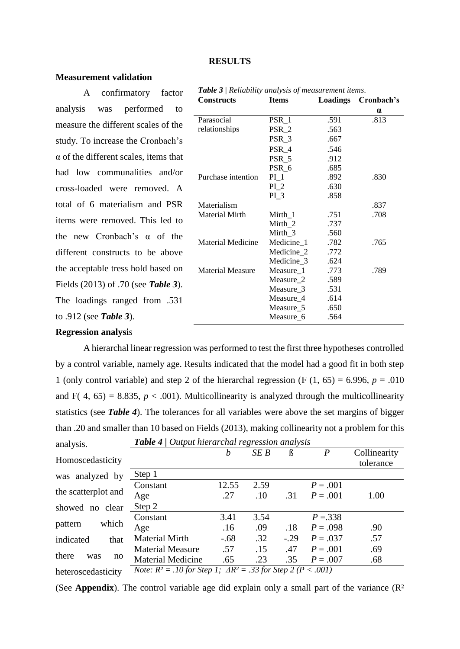#### **RESULTS**

## **Measurement validation**

A confirmatory factor analysis was performed to measure the different scales of the study. To increase the Cronbach's  $\alpha$  of the different scales, items that had low communalities and/or cross-loaded were removed. A total of 6 materialism and PSR items were removed. This led to the new Cronbach's α of the different constructs to be above the acceptable tress hold based on Fields (2013) of .70 (see *Table 3*). The loadings ranged from .531 to .912 (see *Table 3*).

| <b>Constructs</b>        | <b>Items</b>           | Loadings | Cronbach's |  |
|--------------------------|------------------------|----------|------------|--|
|                          |                        |          | $\alpha$   |  |
| Parasocial               | $PSR_1$                | .591     | .813       |  |
| relationships            | PSR <sub>2</sub>       | .563     |            |  |
|                          | $PSR_3$                | .667     |            |  |
|                          | PSR 4                  | .546     |            |  |
|                          | PSR 5                  | .912     |            |  |
|                          | $PSR_6$                | .685     |            |  |
| Purchase intention       | $PL_1$                 | .892     | .830       |  |
|                          | $PI_2$                 | .630     |            |  |
|                          | $PL_3$                 | .858     |            |  |
| Materialism              |                        |          | .837       |  |
| Material Mirth           | Mirth 1                | .751     | .708       |  |
|                          | Mirth_2                | .737     |            |  |
|                          | Mirth 3                | .560     |            |  |
| <b>Material Medicine</b> | Medicine_1             | .782     | .765       |  |
|                          | Medicine_2             | .772     |            |  |
|                          | Medicine <sub>_3</sub> | .624     |            |  |
| <b>Material Measure</b>  | Measure_1              | .773     | .789       |  |
|                          | Measure_2              | .589     |            |  |
|                          | Measure_3              | .531     |            |  |
|                          | Measure_4              | .614     |            |  |
|                          | Measure_5              | .650     |            |  |
|                          | Measure <sub>6</sub>   | .564     |            |  |
|                          |                        |          |            |  |

*Table 3 | Reliability analysis of measurement items*.

### **Regression analysi**s

A hierarchal linear regression was performed to test the first three hypotheses controlled by a control variable, namely age. Results indicated that the model had a good fit in both step 1 (only control variable) and step 2 of the hierarchal regression  $(F (1, 65) = 6.996, p = .010)$ and F( 4, 65) = 8.835,  $p < .001$ ). Multicollinearity is analyzed through the multicollinearity statistics (see *Table 4*). The tolerances for all variables were above the set margins of bigger than .20 and smaller than 10 based on Fields (2013), making collinearity not a problem for this *Table 4 | Output hierarchal regression analysis*

| analysis.                                                                                               | <b>Table 4</b>   Output hierarchal regression analysis |        |      |        |                  |              |
|---------------------------------------------------------------------------------------------------------|--------------------------------------------------------|--------|------|--------|------------------|--------------|
|                                                                                                         |                                                        | b      | SE B | ß      | $\boldsymbol{P}$ | Collinearity |
| Homoscedasticity                                                                                        |                                                        |        |      |        |                  | tolerance    |
| was analyzed by                                                                                         | Step 1                                                 |        |      |        |                  |              |
|                                                                                                         | Constant                                               | 12.55  | 2.59 |        | $P = .001$       |              |
| the scatterplot and                                                                                     | Age                                                    | .27    | .10  | .31    | $P = .001$       | 1.00         |
| showed no clear                                                                                         | Step 2                                                 |        |      |        |                  |              |
|                                                                                                         | Constant                                               | 3.41   | 3.54 |        | $P = 338$        |              |
| which<br>pattern                                                                                        | Age                                                    | .16    | .09  | .18    | $P = .098$       | .90          |
| indicated<br>that                                                                                       | <b>Material Mirth</b>                                  | $-.68$ | .32  | $-.29$ | $P = .037$       | .57          |
|                                                                                                         | <b>Material Measure</b>                                | .57    | .15  | .47    | $P = .001$       | .69          |
| there<br>was<br>no                                                                                      | <b>Material Medicine</b>                               | .65    | .23  | .35    | $P = .007$       | .68          |
| <i>Note:</i> $R^2 = .10$ for Step 1; $\Delta R^2 = .33$ for Step 2 ( $P < .001$ )<br>heteroscedasticity |                                                        |        |      |        |                  |              |

(See **Appendix**). The control variable age did explain only a small part of the variance (R<sup>2</sup>)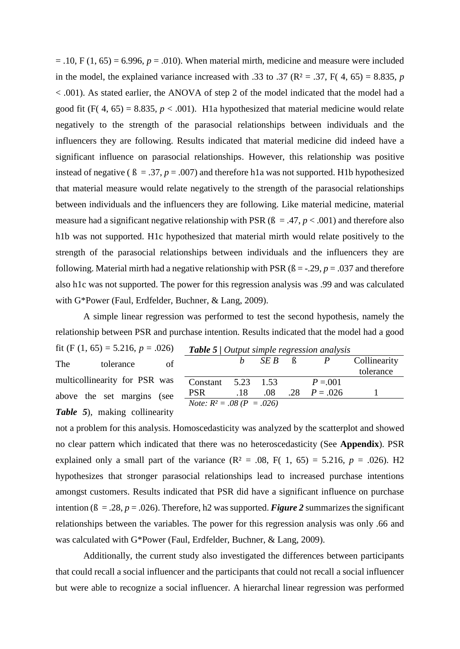$= .10, F(1, 65) = 6.996, p = .010$ . When material mirth, medicine and measure were included in the model, the explained variance increased with .33 to .37 ( $\mathbb{R}^2$  = .37,  $\mathbb{F}$ (4, 65) = 8.835, *p* < .001). As stated earlier, the ANOVA of step 2 of the model indicated that the model had a good fit  $(F(4, 65) = 8.835, p < .001)$ . H<sub>1</sub>a hypothesized that material medicine would relate negatively to the strength of the parasocial relationships between individuals and the influencers they are following. Results indicated that material medicine did indeed have a significant influence on parasocial relationships. However, this relationship was positive instead of negative ( $\beta = .37$ ,  $p = .007$ ) and therefore h1a was not supported. H1b hypothesized that material measure would relate negatively to the strength of the parasocial relationships between individuals and the influencers they are following. Like material medicine, material measure had a significant negative relationship with PSR  $(β = .47, p < .001)$  and therefore also h1b was not supported. H1c hypothesized that material mirth would relate positively to the strength of the parasocial relationships between individuals and the influencers they are following. Material mirth had a negative relationship with PSR  $(6 = -0.29, p = 0.037)$  and therefore also h1c was not supported. The power for this regression analysis was .99 and was calculated with G\*Power (Faul, Erdfelder, Buchner, & Lang, 2009).

A simple linear regression was performed to test the second hypothesis, namely the relationship between PSR and purchase intention. Results indicated that the model had a good

fit (F  $(1, 65) = 5.216, p = .026$ ) The tolerance of multicollinearity for PSR was above the set margins (see *Table 5*), making collinearity

|                                         |     |        | <b>Table 5</b>   Output simple regression analysis |              |
|-----------------------------------------|-----|--------|----------------------------------------------------|--------------|
|                                         |     | - SE B |                                                    | Collinearity |
|                                         |     |        |                                                    | tolerance    |
| Constant $5.23$                         |     | 1.53   | $P = 0.01$                                         |              |
| <b>PSR</b>                              | .18 | .08    | .28 $P = .026$                                     |              |
| <i>Note:</i> $R^2 = .08$ ( $P = .026$ ) |     |        |                                                    |              |
|                                         |     |        |                                                    |              |

not a problem for this analysis. Homoscedasticity was analyzed by the scatterplot and showed no clear pattern which indicated that there was no heteroscedasticity (See **Appendix**). PSR explained only a small part of the variance  $(R^2 = .08, F(1, 65) = 5.216, p = .026)$ . H2 hypothesizes that stronger parasocial relationships lead to increased purchase intentions amongst customers. Results indicated that PSR did have a significant influence on purchase intention ( $\beta = 0.28$ ,  $p = 0.026$ ). Therefore, h2 was supported. *Figure 2* summarizes the significant relationships between the variables. The power for this regression analysis was only .66 and was calculated with G\*Power (Faul, Erdfelder, Buchner, & Lang, 2009).

Additionally, the current study also investigated the differences between participants that could recall a social influencer and the participants that could not recall a social influencer but were able to recognize a social influencer. A hierarchal linear regression was performed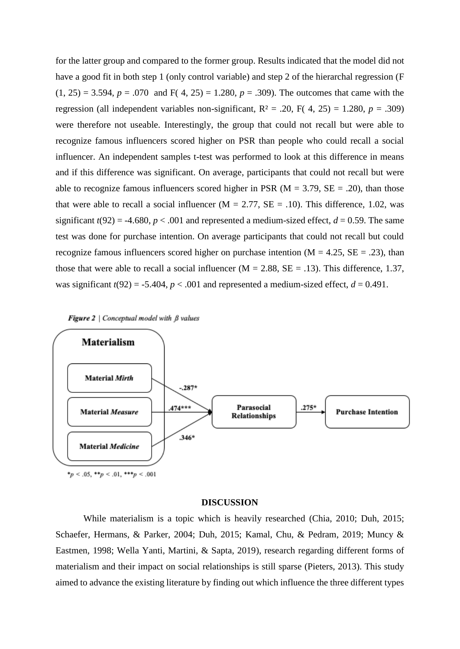for the latter group and compared to the former group. Results indicated that the model did not have a good fit in both step 1 (only control variable) and step 2 of the hierarchal regression (F  $(1, 25) = 3.594$ ,  $p = .070$  and F( 4, 25) = 1.280,  $p = .309$ ). The outcomes that came with the regression (all independent variables non-significant,  $R^2 = .20$ ,  $F(4, 25) = 1.280$ ,  $p = .309$ ) were therefore not useable. Interestingly, the group that could not recall but were able to recognize famous influencers scored higher on PSR than people who could recall a social influencer. An independent samples t-test was performed to look at this difference in means and if this difference was significant. On average, participants that could not recall but were able to recognize famous influencers scored higher in PSR ( $M = 3.79$ ,  $SE = .20$ ), than those that were able to recall a social influencer ( $M = 2.77$ ,  $SE = .10$ ). This difference, 1.02, was significant  $t(92) = -4.680$ ,  $p < .001$  and represented a medium-sized effect,  $d = 0.59$ . The same test was done for purchase intention. On average participants that could not recall but could recognize famous influencers scored higher on purchase intention ( $M = 4.25$ ,  $SE = .23$ ), than those that were able to recall a social influencer ( $M = 2.88$ ,  $SE = .13$ ). This difference, 1.37, was significant  $t(92) = -5.404$ ,  $p < .001$  and represented a medium-sized effect,  $d = 0.491$ .



## **DISCUSSION**

While materialism is a topic which is heavily researched (Chia, 2010; Duh, 2015; Schaefer, Hermans, & Parker, 2004; Duh, 2015; Kamal, Chu, & Pedram, 2019; Muncy & Eastmen, 1998; Wella Yanti, Martini, & Sapta, 2019), research regarding different forms of materialism and their impact on social relationships is still sparse (Pieters, 2013). This study aimed to advance the existing literature by finding out which influence the three different types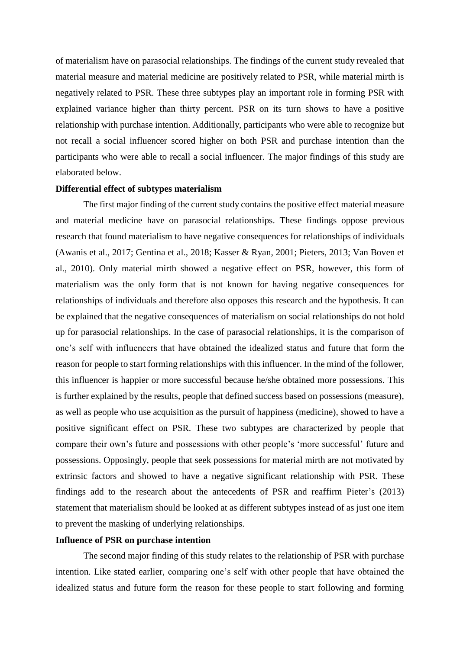of materialism have on parasocial relationships. The findings of the current study revealed that material measure and material medicine are positively related to PSR, while material mirth is negatively related to PSR. These three subtypes play an important role in forming PSR with explained variance higher than thirty percent. PSR on its turn shows to have a positive relationship with purchase intention. Additionally, participants who were able to recognize but not recall a social influencer scored higher on both PSR and purchase intention than the participants who were able to recall a social influencer. The major findings of this study are elaborated below.

#### **Differential effect of subtypes materialism**

The first major finding of the current study contains the positive effect material measure and material medicine have on parasocial relationships. These findings oppose previous research that found materialism to have negative consequences for relationships of individuals (Awanis et al., 2017; Gentina et al., 2018; Kasser & Ryan, 2001; Pieters, 2013; Van Boven et al., 2010). Only material mirth showed a negative effect on PSR, however, this form of materialism was the only form that is not known for having negative consequences for relationships of individuals and therefore also opposes this research and the hypothesis. It can be explained that the negative consequences of materialism on social relationships do not hold up for parasocial relationships. In the case of parasocial relationships, it is the comparison of one's self with influencers that have obtained the idealized status and future that form the reason for people to start forming relationships with this influencer. In the mind of the follower, this influencer is happier or more successful because he/she obtained more possessions. This is further explained by the results, people that defined success based on possessions (measure), as well as people who use acquisition as the pursuit of happiness (medicine), showed to have a positive significant effect on PSR. These two subtypes are characterized by people that compare their own's future and possessions with other people's 'more successful' future and possessions. Opposingly, people that seek possessions for material mirth are not motivated by extrinsic factors and showed to have a negative significant relationship with PSR. These findings add to the research about the antecedents of PSR and reaffirm Pieter's (2013) statement that materialism should be looked at as different subtypes instead of as just one item to prevent the masking of underlying relationships.

## **Influence of PSR on purchase intention**

The second major finding of this study relates to the relationship of PSR with purchase intention. Like stated earlier, comparing one's self with other people that have obtained the idealized status and future form the reason for these people to start following and forming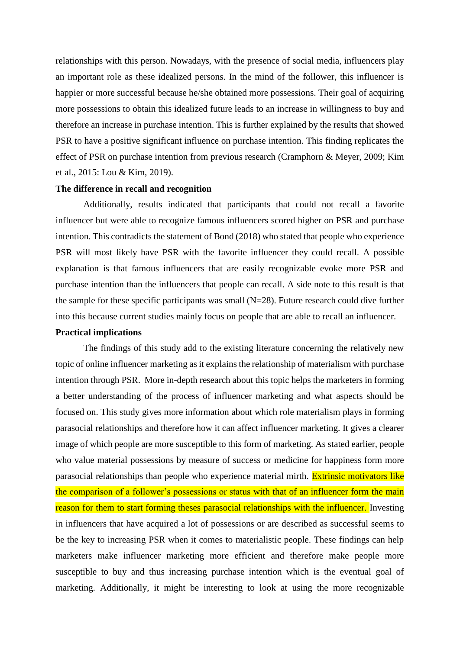relationships with this person. Nowadays, with the presence of social media, influencers play an important role as these idealized persons. In the mind of the follower, this influencer is happier or more successful because he/she obtained more possessions. Their goal of acquiring more possessions to obtain this idealized future leads to an increase in willingness to buy and therefore an increase in purchase intention. This is further explained by the results that showed PSR to have a positive significant influence on purchase intention. This finding replicates the effect of PSR on purchase intention from previous research (Cramphorn & Meyer, 2009; Kim et al., 2015: Lou & Kim, 2019).

## **The difference in recall and recognition**

Additionally, results indicated that participants that could not recall a favorite influencer but were able to recognize famous influencers scored higher on PSR and purchase intention. This contradicts the statement of Bond (2018) who stated that people who experience PSR will most likely have PSR with the favorite influencer they could recall. A possible explanation is that famous influencers that are easily recognizable evoke more PSR and purchase intention than the influencers that people can recall. A side note to this result is that the sample for these specific participants was small  $(N=28)$ . Future research could dive further into this because current studies mainly focus on people that are able to recall an influencer.

#### **Practical implications**

The findings of this study add to the existing literature concerning the relatively new topic of online influencer marketing as it explains the relationship of materialism with purchase intention through PSR. More in-depth research about this topic helps the marketers in forming a better understanding of the process of influencer marketing and what aspects should be focused on. This study gives more information about which role materialism plays in forming parasocial relationships and therefore how it can affect influencer marketing. It gives a clearer image of which people are more susceptible to this form of marketing. As stated earlier, people who value material possessions by measure of success or medicine for happiness form more parasocial relationships than people who experience material mirth. Extrinsic motivators like the comparison of a follower's possessions or status with that of an influencer form the main reason for them to start forming theses parasocial relationships with the influencer. Investing in influencers that have acquired a lot of possessions or are described as successful seems to be the key to increasing PSR when it comes to materialistic people. These findings can help marketers make influencer marketing more efficient and therefore make people more susceptible to buy and thus increasing purchase intention which is the eventual goal of marketing. Additionally, it might be interesting to look at using the more recognizable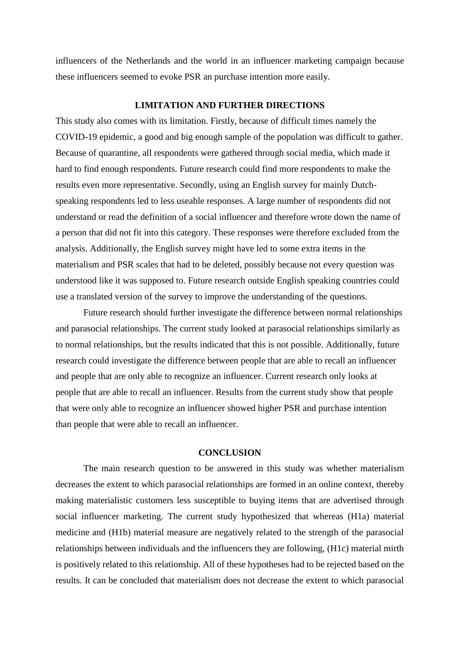influencers of the Netherlands and the world in an influencer marketing campaign because these influencers seemed to evoke PSR an purchase intention more easily.

## **LIMITATION AND FURTHER DIRECTIONS**

This study also comes with its limitation. Firstly, because of difficult times namely the COVID-19 epidemic, a good and big enough sample of the population was difficult to gather. Because of quarantine, all respondents were gathered through social media, which made it hard to find enough respondents. Future research could find more respondents to make the results even more representative. Secondly, using an English survey for mainly Dutchspeaking respondents led to less useable responses. A large number of respondents did not understand or read the definition of a social influencer and therefore wrote down the name of a person that did not fit into this category. These responses were therefore excluded from the analysis. Additionally, the English survey might have led to some extra items in the materialism and PSR scales that had to be deleted, possibly because not every question was understood like it was supposed to. Future research outside English speaking countries could use a translated version of the survey to improve the understanding of the questions.

Future research should further investigate the difference between normal relationships and parasocial relationships. The current study looked at parasocial relationships similarly as to normal relationships, but the results indicated that this is not possible. Additionally, future research could investigate the difference between people that are able to recall an influencer and people that are only able to recognize an influencer. Current research only looks at people that are able to recall an influencer. Results from the current study show that people that were only able to recognize an influencer showed higher PSR and purchase intention than people that were able to recall an influencer.

## **CONCLUSION**

The main research question to be answered in this study was whether materialism decreases the extent to which parasocial relationships are formed in an online context, thereby making materialistic customers less susceptible to buying items that are advertised through social influencer marketing. The current study hypothesized that whereas (H1a) material medicine and (H1b) material measure are negatively related to the strength of the parasocial relationships between individuals and the influencers they are following, (H1c) material mirth is positively related to this relationship. All of these hypotheses had to be rejected based on the results. It can be concluded that materialism does not decrease the extent to which parasocial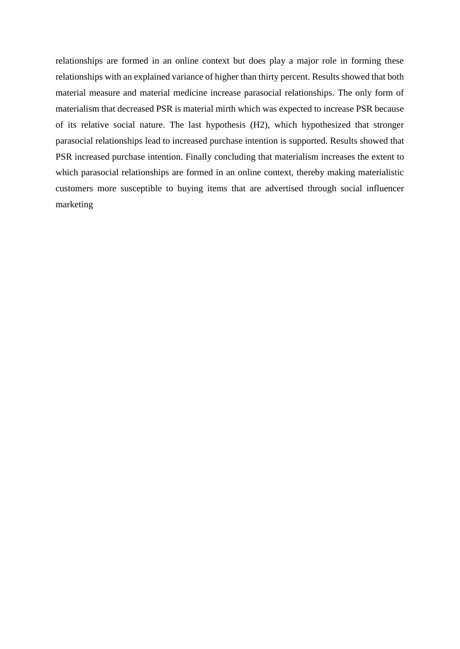relationships are formed in an online context but does play a major role in forming these relationships with an explained variance of higher than thirty percent. Results showed that both material measure and material medicine increase parasocial relationships. The only form of materialism that decreased PSR is material mirth which was expected to increase PSR because of its relative social nature. The last hypothesis (H2), which hypothesized that stronger parasocial relationships lead to increased purchase intention is supported. Results showed that PSR increased purchase intention. Finally concluding that materialism increases the extent to which parasocial relationships are formed in an online context, thereby making materialistic customers more susceptible to buying items that are advertised through social influencer marketing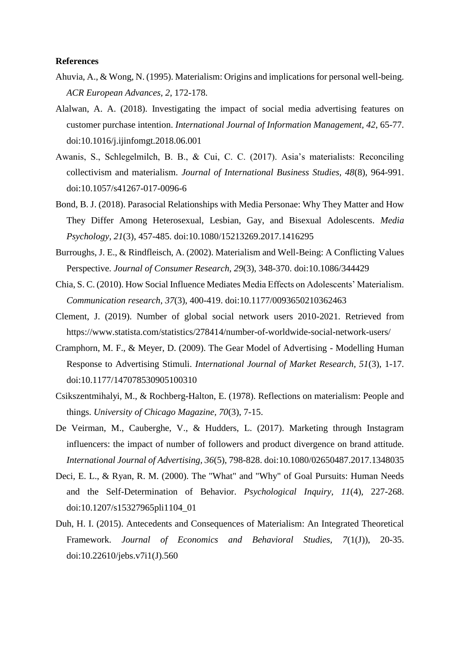### **References**

- Ahuvia, A., & Wong, N. (1995). Materialism: Origins and implications for personal well-being. *ACR European Advances, 2*, 172-178.
- Alalwan, A. A. (2018). Investigating the impact of social media advertising features on customer purchase intention. *International Journal of Information Management, 42*, 65-77. doi:10.1016/j.ijinfomgt.2018.06.001
- Awanis, S., Schlegelmilch, B. B., & Cui, C. C. (2017). Asia's materialists: Reconciling collectivism and materialism. *Journal of International Business Studies, 48*(8), 964-991. doi:10.1057/s41267-017-0096-6
- Bond, B. J. (2018). Parasocial Relationships with Media Personae: Why They Matter and How They Differ Among Heterosexual, Lesbian, Gay, and Bisexual Adolescents. *Media Psychology, 21*(3), 457-485. doi:10.1080/15213269.2017.1416295
- Burroughs, J. E., & Rindfleisch, A. (2002). Materialism and Well-Being: A Conflicting Values Perspective. *Journal of Consumer Research, 29*(3), 348-370. doi:10.1086/344429
- Chia, S. C. (2010). How Social Influence Mediates Media Effects on Adolescents' Materialism. *Communication research, 37*(3), 400-419. doi:10.1177/0093650210362463
- Clement, J. (2019). Number of global social network users 2010-2021. Retrieved from https://www.statista.com/statistics/278414/number-of-worldwide-social-network-users/
- Cramphorn, M. F., & Meyer, D. (2009). The Gear Model of Advertising Modelling Human Response to Advertising Stimuli. *International Journal of Market Research, 51*(3), 1-17. doi:10.1177/147078530905100310
- Csikszentmihalyi, M., & Rochberg-Halton, E. (1978). Reflections on materialism: People and things. *University of Chicago Magazine, 70*(3), 7-15.
- De Veirman, M., Cauberghe, V., & Hudders, L. (2017). Marketing through Instagram influencers: the impact of number of followers and product divergence on brand attitude. *International Journal of Advertising, 36*(5), 798-828. doi:10.1080/02650487.2017.1348035
- Deci, E. L., & Ryan, R. M. (2000). The "What" and "Why" of Goal Pursuits: Human Needs and the Self-Determination of Behavior. *Psychological Inquiry, 11*(4), 227-268. doi:10.1207/s15327965pli1104\_01
- Duh, H. I. (2015). Antecedents and Consequences of Materialism: An Integrated Theoretical Framework. *Journal of Economics and Behavioral Studies, 7*(1(J)), 20-35. doi:10.22610/jebs.v7i1(J).560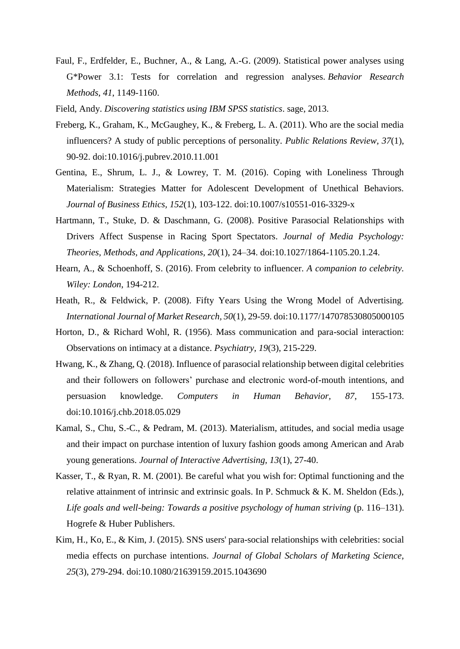- Faul, F., Erdfelder, E., Buchner, A., & Lang, A.-G. (2009). Statistical power analyses using G\*Power 3.1: Tests for correlation and regression analyses. *Behavior Research Methods*, *41*, 1149-1160.
- Field, Andy. *Discovering statistics using IBM SPSS statistics*. sage, 2013.
- Freberg, K., Graham, K., McGaughey, K., & Freberg, L. A. (2011). Who are the social media influencers? A study of public perceptions of personality. *Public Relations Review, 37*(1), 90-92. doi:10.1016/j.pubrev.2010.11.001
- Gentina, E., Shrum, L. J., & Lowrey, T. M. (2016). Coping with Loneliness Through Materialism: Strategies Matter for Adolescent Development of Unethical Behaviors. *Journal of Business Ethics, 152*(1), 103-122. doi:10.1007/s10551-016-3329-x
- Hartmann, T., Stuke, D. & Daschmann, G. (2008). Positive Parasocial Relationships with Drivers Affect Suspense in Racing Sport Spectators. *Journal of Media Psychology: Theories, Methods, and Applications, 20*(1), 24–34. doi:10.1027/1864-1105.20.1.24.
- Hearn, A., & Schoenhoff, S. (2016). From celebrity to influencer. *A companion to celebrity. Wiley: London*, 194-212.
- Heath, R., & Feldwick, P. (2008). Fifty Years Using the Wrong Model of Advertising. *International Journal of Market Research, 50*(1), 29-59. doi:10.1177/147078530805000105
- Horton, D., & Richard Wohl, R. (1956). Mass communication and para-social interaction: Observations on intimacy at a distance. *Psychiatry, 19*(3), 215-229.
- Hwang, K., & Zhang, Q. (2018). Influence of parasocial relationship between digital celebrities and their followers on followers' purchase and electronic word-of-mouth intentions, and persuasion knowledge. *Computers in Human Behavior, 87*, 155-173. doi:10.1016/j.chb.2018.05.029
- Kamal, S., Chu, S.-C., & Pedram, M. (2013). Materialism, attitudes, and social media usage and their impact on purchase intention of luxury fashion goods among American and Arab young generations. *Journal of Interactive Advertising, 13*(1), 27-40.
- Kasser, T., & Ryan, R. M. (2001). Be careful what you wish for: Optimal functioning and the relative attainment of intrinsic and extrinsic goals. In P. Schmuck & K. M. Sheldon (Eds.), *Life goals and well-being: Towards a positive psychology of human striving* (p. 116–131). Hogrefe & Huber Publishers.
- Kim, H., Ko, E., & Kim, J. (2015). SNS users' para-social relationships with celebrities: social media effects on purchase intentions. *Journal of Global Scholars of Marketing Science, 25*(3), 279-294. doi:10.1080/21639159.2015.1043690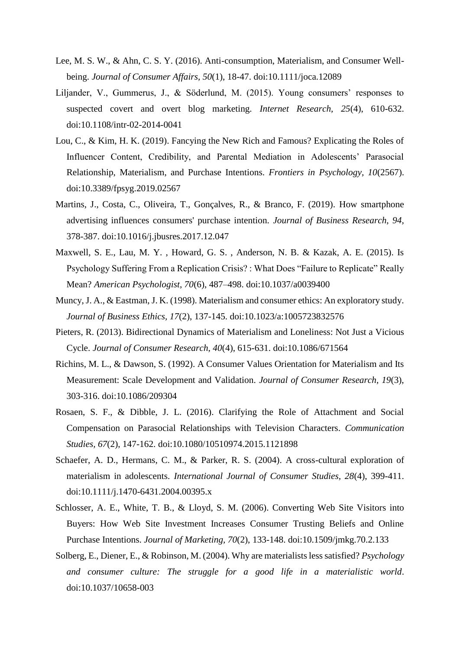- Lee, M. S. W., & Ahn, C. S. Y. (2016). Anti-consumption, Materialism, and Consumer Wellbeing. *Journal of Consumer Affairs, 50*(1), 18-47. doi:10.1111/joca.12089
- Liljander, V., Gummerus, J., & Söderlund, M. (2015). Young consumers' responses to suspected covert and overt blog marketing. *Internet Research, 25*(4), 610-632. doi:10.1108/intr-02-2014-0041
- Lou, C., & Kim, H. K. (2019). Fancying the New Rich and Famous? Explicating the Roles of Influencer Content, Credibility, and Parental Mediation in Adolescents' Parasocial Relationship, Materialism, and Purchase Intentions. *Frontiers in Psychology, 10*(2567). doi:10.3389/fpsyg.2019.02567
- Martins, J., Costa, C., Oliveira, T., Gonçalves, R., & Branco, F. (2019). How smartphone advertising influences consumers' purchase intention. *Journal of Business Research, 94*, 378-387. doi:10.1016/j.jbusres.2017.12.047
- Maxwell, S. E., Lau, M. Y. , Howard, G. S. , Anderson, N. B. & Kazak, A. E. (2015). Is Psychology Suffering From a Replication Crisis? : What Does "Failure to Replicate" Really Mean? *American Psychologist, 70*(6), 487–498. doi:10.1037/a0039400
- Muncy, J. A., & Eastman, J. K. (1998). Materialism and consumer ethics: An exploratory study. *Journal of Business Ethics, 17*(2), 137-145. doi:10.1023/a:1005723832576
- Pieters, R. (2013). Bidirectional Dynamics of Materialism and Loneliness: Not Just a Vicious Cycle. *Journal of Consumer Research, 40*(4), 615-631. doi:10.1086/671564
- Richins, M. L., & Dawson, S. (1992). A Consumer Values Orientation for Materialism and Its Measurement: Scale Development and Validation. *Journal of Consumer Research, 19*(3), 303-316. doi:10.1086/209304
- Rosaen, S. F., & Dibble, J. L. (2016). Clarifying the Role of Attachment and Social Compensation on Parasocial Relationships with Television Characters. *Communication Studies, 67*(2), 147-162. doi:10.1080/10510974.2015.1121898
- Schaefer, A. D., Hermans, C. M., & Parker, R. S. (2004). A cross-cultural exploration of materialism in adolescents. *International Journal of Consumer Studies, 28*(4), 399-411. doi:10.1111/j.1470-6431.2004.00395.x
- Schlosser, A. E., White, T. B., & Lloyd, S. M. (2006). Converting Web Site Visitors into Buyers: How Web Site Investment Increases Consumer Trusting Beliefs and Online Purchase Intentions. *Journal of Marketing, 70*(2), 133-148. doi:10.1509/jmkg.70.2.133
- Solberg, E., Diener, E., & Robinson, M. (2004). Why are materialists less satisfied? *Psychology and consumer culture: The struggle for a good life in a materialistic world*. doi:10.1037/10658-003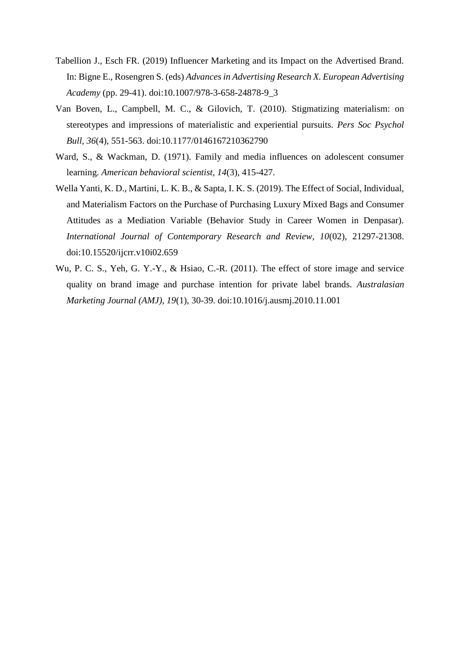- Tabellion J., Esch FR. (2019) Influencer Marketing and its Impact on the Advertised Brand. In: Bigne E., Rosengren S. (eds) *Advances in Advertising Research X. European Advertising Academy* (pp. 29-41). doi:10.1007/978-3-658-24878-9\_3
- Van Boven, L., Campbell, M. C., & Gilovich, T. (2010). Stigmatizing materialism: on stereotypes and impressions of materialistic and experiential pursuits. *Pers Soc Psychol Bull, 36*(4), 551-563. doi:10.1177/0146167210362790
- Ward, S., & Wackman, D. (1971). Family and media influences on adolescent consumer learning. *American behavioral scientist, 14*(3), 415-427.
- Wella Yanti, K. D., Martini, L. K. B., & Sapta, I. K. S. (2019). The Effect of Social, Individual, and Materialism Factors on the Purchase of Purchasing Luxury Mixed Bags and Consumer Attitudes as a Mediation Variable (Behavior Study in Career Women in Denpasar). *International Journal of Contemporary Research and Review, 10*(02), 21297-21308. doi:10.15520/ijcrr.v10i02.659
- Wu, P. C. S., Yeh, G. Y.-Y., & Hsiao, C.-R. (2011). The effect of store image and service quality on brand image and purchase intention for private label brands. *Australasian Marketing Journal (AMJ), 19*(1), 30-39. doi:10.1016/j.ausmj.2010.11.001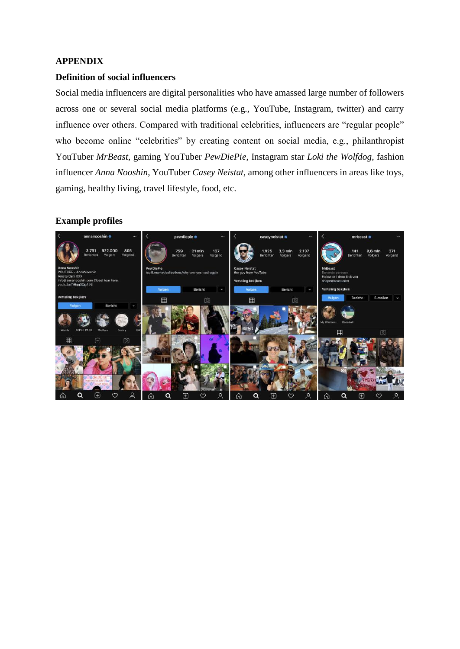## **APPENDIX**

## **Definition of social influencers**

Social media influencers are digital personalities who have amassed large number of followers across one or several social media platforms (e.g., YouTube, Instagram, twitter) and carry influence over others. Compared with traditional celebrities, influencers are "regular people" who become online "celebrities" by creating content on social media, e.g., philanthropist YouTuber *MrBeast*, gaming YouTuber *PewDiePie*, Instagram star *Loki the Wolfdog*, fashion influencer *Anna Nooshin*, YouTuber *Casey Neistat,* among other influencers in areas like toys, gaming, healthy living, travel lifestyle, food, etc.

## **Example profiles**

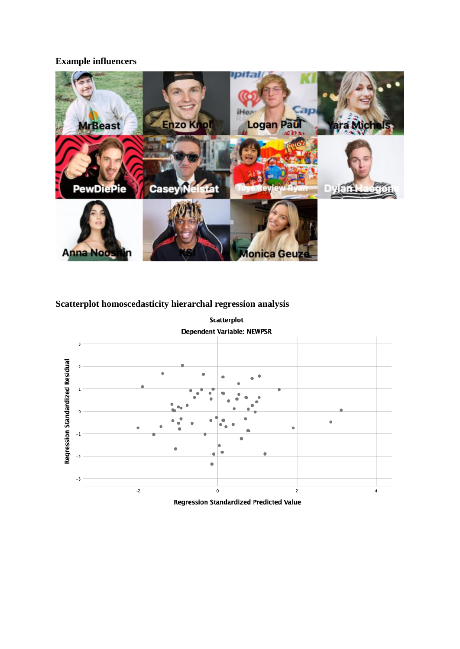## **Example influencers**



# **Scatterplot homoscedasticity hierarchal regression analysis**



Regression Standardized Predicted Value